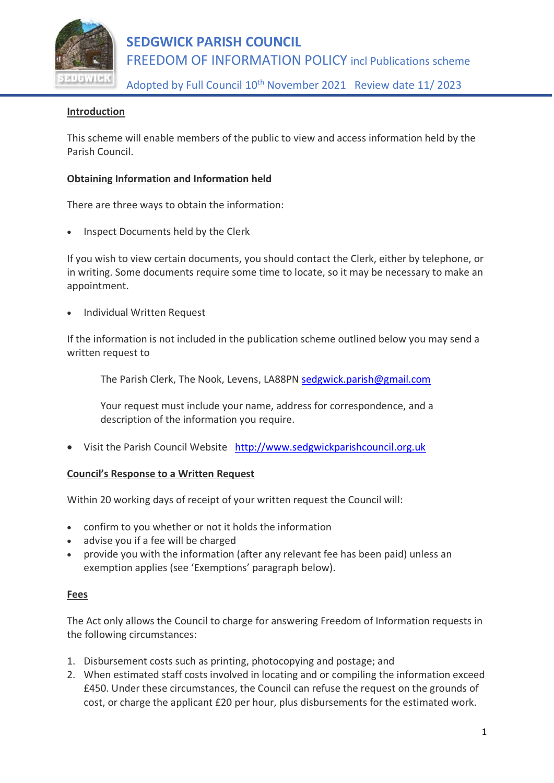

## **SEDGWICK PARISH COUNCIL** FREEDOM OF INFORMATION POLICY incl Publications scheme

Adopted by Full Council 10<sup>th</sup> November 2021 Review date 11/2023

### **Introduction**

This scheme will enable members of the public to view and access information held by the Parish Council.

#### **Obtaining Information and Information held**

There are three ways to obtain the information:

• Inspect Documents held by the Clerk

If you wish to view certain documents, you should contact the Clerk, either by telephone, or in writing. Some documents require some time to locate, so it may be necessary to make an appointment.

• Individual Written Request

If the information is not included in the publication scheme outlined below you may send a written request to

The Parish Clerk, The Nook, Levens, LA88PN [sedgwick.parish@gmail.com](mailto:sedgwick.parish@gmail.com)

Your request must include your name, address for correspondence, and a description of the information you require.

• Visit the Parish Council Website [http://www.sedgwickparishcouncil.org.uk](http://www.sedgwickparishcouncil.org.uk/)

#### **Council's Response to a Written Request**

Within 20 working days of receipt of your written request the Council will:

- confirm to you whether or not it holds the information
- advise you if a fee will be charged
- provide you with the information (after any relevant fee has been paid) unless an exemption applies (see 'Exemptions' paragraph below).

#### **Fees**

The Act only allows the Council to charge for answering Freedom of Information requests in the following circumstances:

- 1. Disbursement costs such as printing, photocopying and postage; and
- 2. When estimated staff costs involved in locating and or compiling the information exceed £450. Under these circumstances, the Council can refuse the request on the grounds of cost, or charge the applicant £20 per hour, plus disbursements for the estimated work.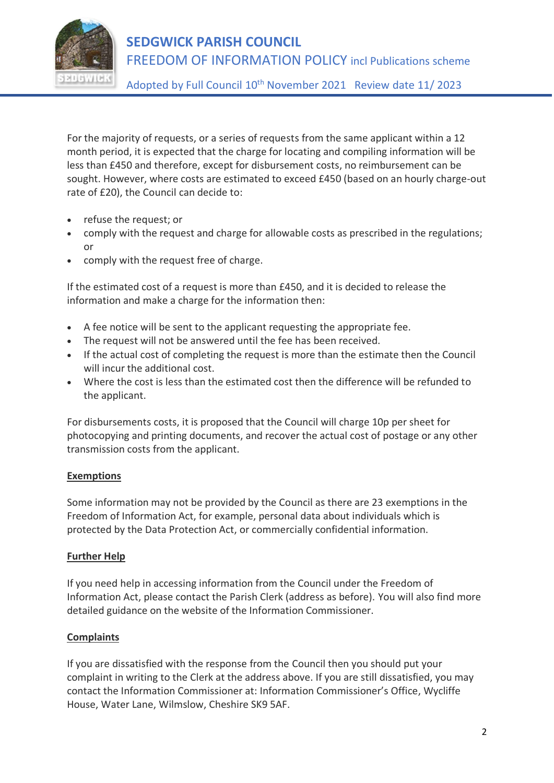

## **SEDGWICK PARISH COUNCIL** FREEDOM OF INFORMATION POLICY incl Publications scheme

Adopted by Full Council 10<sup>th</sup> November 2021 Review date 11/2023

For the majority of requests, or a series of requests from the same applicant within a 12 month period, it is expected that the charge for locating and compiling information will be less than £450 and therefore, except for disbursement costs, no reimbursement can be sought. However, where costs are estimated to exceed £450 (based on an hourly charge-out rate of £20), the Council can decide to:

- refuse the request; or
- comply with the request and charge for allowable costs as prescribed in the regulations; or
- comply with the request free of charge.

If the estimated cost of a request is more than £450, and it is decided to release the information and make a charge for the information then:

- A fee notice will be sent to the applicant requesting the appropriate fee.
- The request will not be answered until the fee has been received.
- If the actual cost of completing the request is more than the estimate then the Council will incur the additional cost.
- Where the cost is less than the estimated cost then the difference will be refunded to the applicant.

For disbursements costs, it is proposed that the Council will charge 10p per sheet for photocopying and printing documents, and recover the actual cost of postage or any other transmission costs from the applicant.

### **Exemptions**

Some information may not be provided by the Council as there are 23 exemptions in the Freedom of Information Act, for example, personal data about individuals which is protected by the Data Protection Act, or commercially confidential information.

### **Further Help**

If you need help in accessing information from the Council under the Freedom of Information Act, please contact the Parish Clerk (address as before). You will also find more detailed guidance on the website of the Information Commissioner.

### **Complaints**

If you are dissatisfied with the response from the Council then you should put your complaint in writing to the Clerk at the address above. If you are still dissatisfied, you may contact the Information Commissioner at: Information Commissioner's Office, Wycliffe House, Water Lane, Wilmslow, Cheshire SK9 5AF.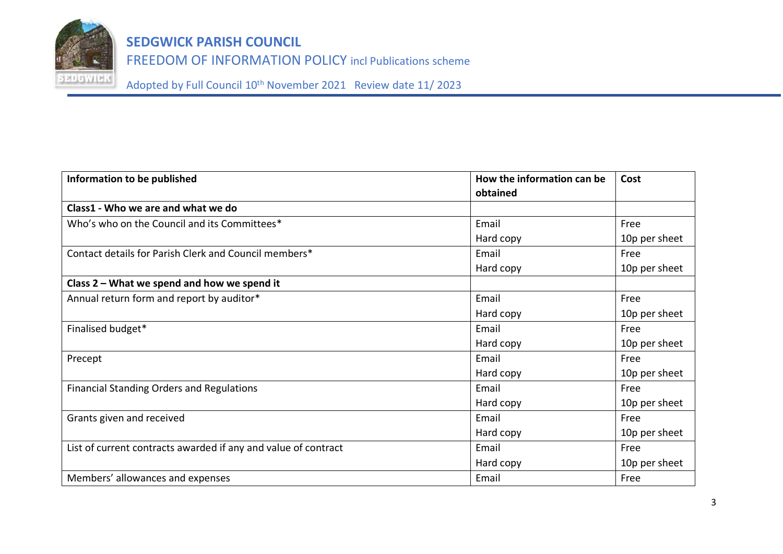

FREEDOM OF INFORMATION POLICY incl Publications scheme

Adopted by Full Council 10th November 2021 Review date 11/ 2023

| Information to be published                                    | How the information can be | Cost          |
|----------------------------------------------------------------|----------------------------|---------------|
|                                                                | obtained                   |               |
| Class1 - Who we are and what we do                             |                            |               |
| Who's who on the Council and its Committees*                   | Email                      | Free          |
|                                                                | Hard copy                  | 10p per sheet |
| Contact details for Parish Clerk and Council members*          | Email                      | Free          |
|                                                                | Hard copy                  | 10p per sheet |
| Class 2 – What we spend and how we spend it                    |                            |               |
| Annual return form and report by auditor*                      | Email                      | Free          |
|                                                                | Hard copy                  | 10p per sheet |
| Finalised budget*                                              | Email                      | Free          |
|                                                                | Hard copy                  | 10p per sheet |
| Precept                                                        | Email                      | Free          |
|                                                                | Hard copy                  | 10p per sheet |
| <b>Financial Standing Orders and Regulations</b>               | Email                      | Free          |
|                                                                | Hard copy                  | 10p per sheet |
| Grants given and received                                      | Email                      | Free          |
|                                                                | Hard copy                  | 10p per sheet |
| List of current contracts awarded if any and value of contract | Email                      | Free          |
|                                                                | Hard copy                  | 10p per sheet |
| Members' allowances and expenses                               | Email                      | Free          |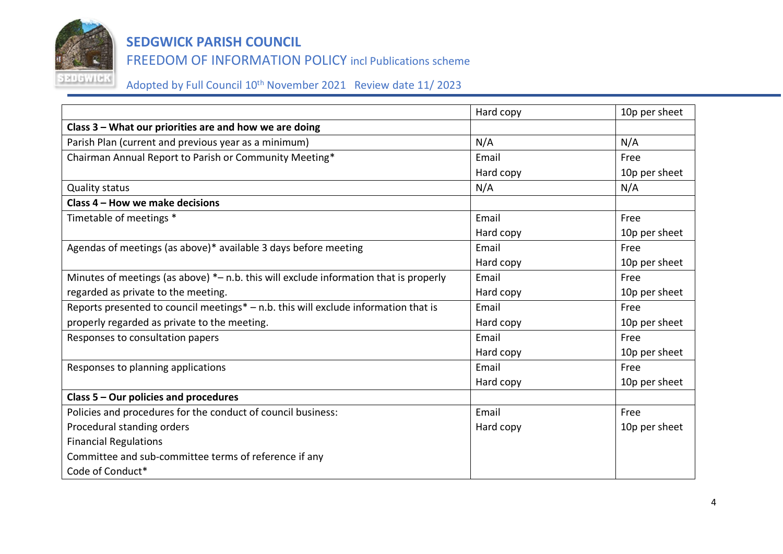

FREEDOM OF INFORMATION POLICY incl Publications scheme

Adopted by Full Council 10<sup>th</sup> November 2021 Review date 11/ 2023

|                                                                                       | Hard copy | 10p per sheet |
|---------------------------------------------------------------------------------------|-----------|---------------|
| Class 3 - What our priorities are and how we are doing                                |           |               |
| Parish Plan (current and previous year as a minimum)                                  | N/A       | N/A           |
| Chairman Annual Report to Parish or Community Meeting*                                | Email     | Free          |
|                                                                                       | Hard copy | 10p per sheet |
| <b>Quality status</b>                                                                 | N/A       | N/A           |
| Class 4 - How we make decisions                                                       |           |               |
| Timetable of meetings *                                                               | Email     | Free          |
|                                                                                       | Hard copy | 10p per sheet |
| Agendas of meetings (as above)* available 3 days before meeting                       | Email     | Free          |
|                                                                                       | Hard copy | 10p per sheet |
| Minutes of meetings (as above) *- n.b. this will exclude information that is properly | Email     | Free          |
| regarded as private to the meeting.                                                   | Hard copy | 10p per sheet |
| Reports presented to council meetings* - n.b. this will exclude information that is   | Email     | Free          |
| properly regarded as private to the meeting.                                          | Hard copy | 10p per sheet |
| Responses to consultation papers                                                      | Email     | Free          |
|                                                                                       | Hard copy | 10p per sheet |
| Responses to planning applications                                                    | Email     | Free          |
|                                                                                       | Hard copy | 10p per sheet |
| Class 5 – Our policies and procedures                                                 |           |               |
| Policies and procedures for the conduct of council business:                          | Email     | Free          |
| Procedural standing orders                                                            | Hard copy | 10p per sheet |
| <b>Financial Regulations</b>                                                          |           |               |
| Committee and sub-committee terms of reference if any                                 |           |               |
| Code of Conduct*                                                                      |           |               |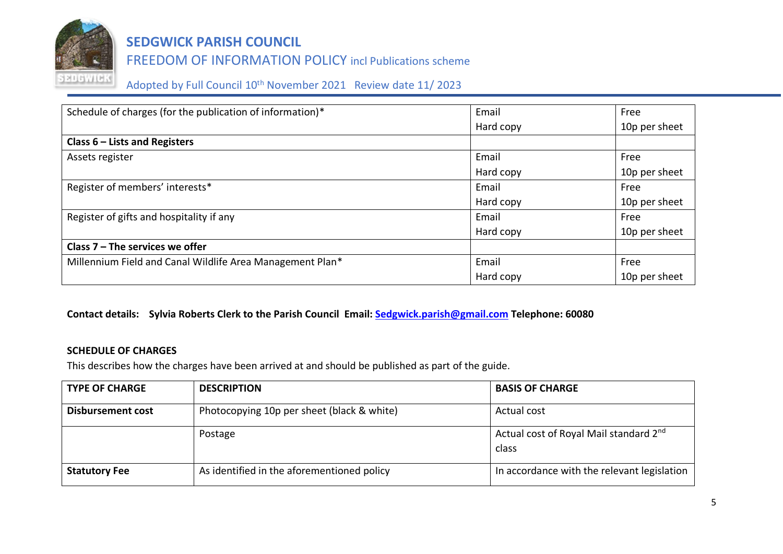

### FREEDOM OF INFORMATION POLICY incl Publications scheme

Adopted by Full Council 10th November 2021 Review date 11/ 2023

| Schedule of charges (for the publication of information)* | Email     | Free          |
|-----------------------------------------------------------|-----------|---------------|
|                                                           | Hard copy | 10p per sheet |
| Class $6$ – Lists and Registers                           |           |               |
| Assets register                                           | Email     | Free          |
|                                                           | Hard copy | 10p per sheet |
| Register of members' interests*                           | Email     | Free          |
|                                                           | Hard copy | 10p per sheet |
| Register of gifts and hospitality if any                  | Email     | Free          |
|                                                           | Hard copy | 10p per sheet |
| Class $7$ – The services we offer                         |           |               |
| Millennium Field and Canal Wildlife Area Management Plan* | Email     | Free          |
|                                                           | Hard copy | 10p per sheet |

### **Contact details: Sylvia Roberts Clerk to the Parish Council Email: [Sedgwick.parish@gmail.com](mailto:Sedgwick.parish@gmail.com) Telephone: 60080**

#### **SCHEDULE OF CHARGES**

This describes how the charges have been arrived at and should be published as part of the guide.

| <b>TYPE OF CHARGE</b>    | <b>DESCRIPTION</b>                         | <b>BASIS OF CHARGE</b>                                      |
|--------------------------|--------------------------------------------|-------------------------------------------------------------|
| <b>Disbursement cost</b> | Photocopying 10p per sheet (black & white) | Actual cost                                                 |
|                          | Postage                                    | Actual cost of Royal Mail standard 2 <sup>nd</sup><br>class |
| <b>Statutory Fee</b>     | As identified in the aforementioned policy | In accordance with the relevant legislation                 |